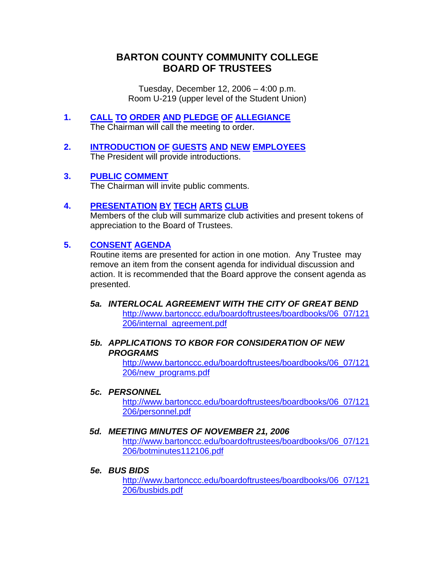# **BARTON COUNTY COMMUNITY COLLEGE BOARD OF TRUSTEES**

Tuesday, December 12, 2006 – 4:00 p.m. Room U-219 (upper level of the Student Union)

- **1. CALL TO ORDER AND PLEDGE OF ALLEGIANCE** The Chairman will call the meeting to order.
- **2. INTRODUCTION OF GUESTS AND NEW EMPLOYEES** The President will provide introductions.
- **3. PUBLIC COMMENT** The Chairman will invite public comments.

# **4. PRESENTATION BY TECH ARTS CLUB**

 Members of the club will summarize club activities and present tokens of appreciation to the Board of Trustees.

## **5. CONSENT AGENDA**

Routine items are presented for action in one motion. Any Trustee may remove an item from the consent agenda for individual discussion and action. It is recommended that the Board approve the consent agenda as presented.

*5a. INTERLOCAL AGREEMENT WITH THE CITY OF GREAT BEND* [http://www.bartonccc.edu/boardoftrustees/boardbooks/06\\_07/121](http://www.bartonccc.edu/boardoftrustees/boardbooks/06_07/121206/internal_agreement.pdf) [206/internal\\_agreement.pdf](http://www.bartonccc.edu/boardoftrustees/boardbooks/06_07/121206/internal_agreement.pdf)

#### *5b. APPLICATIONS TO KBOR FOR CONSIDERATION OF NEW PROGRAMS*

[http://www.bartonccc.edu/boardoftrustees/boardbooks/06\\_07/121](http://www.bartonccc.edu/boardoftrustees/boardbooks/06_07/121206/new_programs.pdf) [206/new\\_programs.pdf](http://www.bartonccc.edu/boardoftrustees/boardbooks/06_07/121206/new_programs.pdf)

#### *5c. PERSONNEL*

[http://www.bartonccc.edu/boardoftrustees/boardbooks/06\\_07/121](http://www.bartonccc.edu/boardoftrustees/boardbooks/06_07/121206/personnel.pdf) [206/personnel.pdf](http://www.bartonccc.edu/boardoftrustees/boardbooks/06_07/121206/personnel.pdf)

#### *5d. MEETING MINUTES OF NOVEMBER 21, 2006*

[http://www.bartonccc.edu/boardoftrustees/boardbooks/06\\_07/121](http://www.bartonccc.edu/boardoftrustees/boardbooks/06_07/121206/botminutes112106.pdf) [206/botminutes112106.pdf](http://www.bartonccc.edu/boardoftrustees/boardbooks/06_07/121206/botminutes112106.pdf)

#### *5e. BUS BIDS*

[http://www.bartonccc.edu/boardoftrustees/boardbooks/06\\_07/121](http://www.bartonccc.edu/boardoftrustees/boardbooks/06_07/121206/busbids.pdf) [206/busbids.pdf](http://www.bartonccc.edu/boardoftrustees/boardbooks/06_07/121206/busbids.pdf)